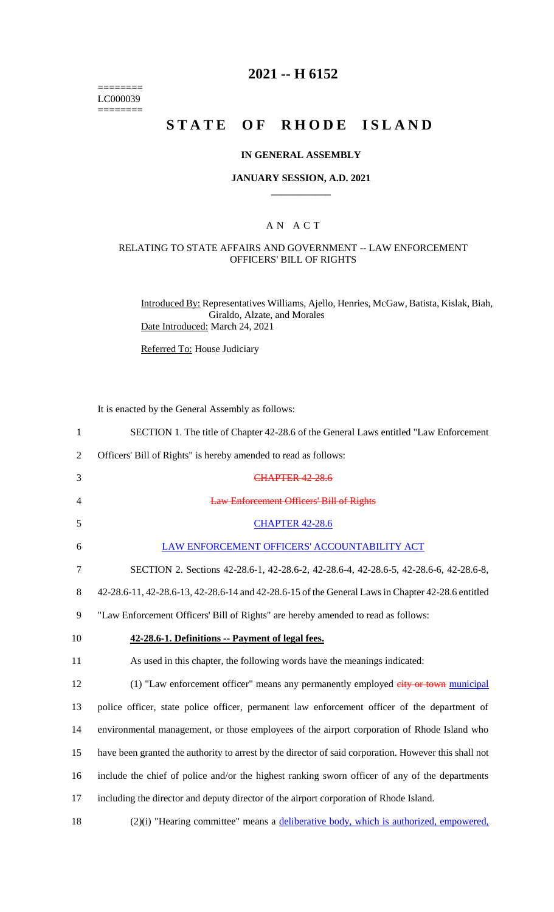======== LC000039  $=$ 

# **2021 -- H 6152**

# **STATE OF RHODE ISLAND**

## **IN GENERAL ASSEMBLY**

#### **JANUARY SESSION, A.D. 2021 \_\_\_\_\_\_\_\_\_\_\_\_**

## A N A C T

## RELATING TO STATE AFFAIRS AND GOVERNMENT -- LAW ENFORCEMENT OFFICERS' BILL OF RIGHTS

Introduced By: Representatives Williams, Ajello, Henries, McGaw, Batista, Kislak, Biah, Giraldo, Alzate, and Morales Date Introduced: March 24, 2021

Referred To: House Judiciary

It is enacted by the General Assembly as follows:

| $\mathbf{1}$   | SECTION 1. The title of Chapter 42-28.6 of the General Laws entitled "Law Enforcement"                |
|----------------|-------------------------------------------------------------------------------------------------------|
| 2              | Officers' Bill of Rights" is hereby amended to read as follows:                                       |
| 3              | <b>CHAPTER 42 28.6</b>                                                                                |
| $\overline{4}$ | <b>Law Enforcement Officers' Bill of Rights</b>                                                       |
| 5              | <b>CHAPTER 42-28.6</b>                                                                                |
| 6              | LAW ENFORCEMENT OFFICERS' ACCOUNTABILITY ACT                                                          |
| 7              | SECTION 2. Sections 42-28.6-1, 42-28.6-2, 42-28.6-4, 42-28.6-5, 42-28.6-6, 42-28.6-8,                 |
| 8              | 42-28.6-11, 42-28.6-13, 42-28.6-14 and 42-28.6-15 of the General Laws in Chapter 42-28.6 entitled     |
| 9              | "Law Enforcement Officers' Bill of Rights" are hereby amended to read as follows:                     |
| 10             | 42-28.6-1. Definitions -- Payment of legal fees.                                                      |
| 11             | As used in this chapter, the following words have the meanings indicated:                             |
|                |                                                                                                       |
| 12             | (1) "Law enforcement officer" means any permanently employed eity or town municipal                   |
| 13             | police officer, state police officer, permanent law enforcement officer of the department of          |
| 14             | environmental management, or those employees of the airport corporation of Rhode Island who           |
| 15             | have been granted the authority to arrest by the director of said corporation. However this shall not |
| 16             | include the chief of police and/or the highest ranking sworn officer of any of the departments        |
| 17             | including the director and deputy director of the airport corporation of Rhode Island.                |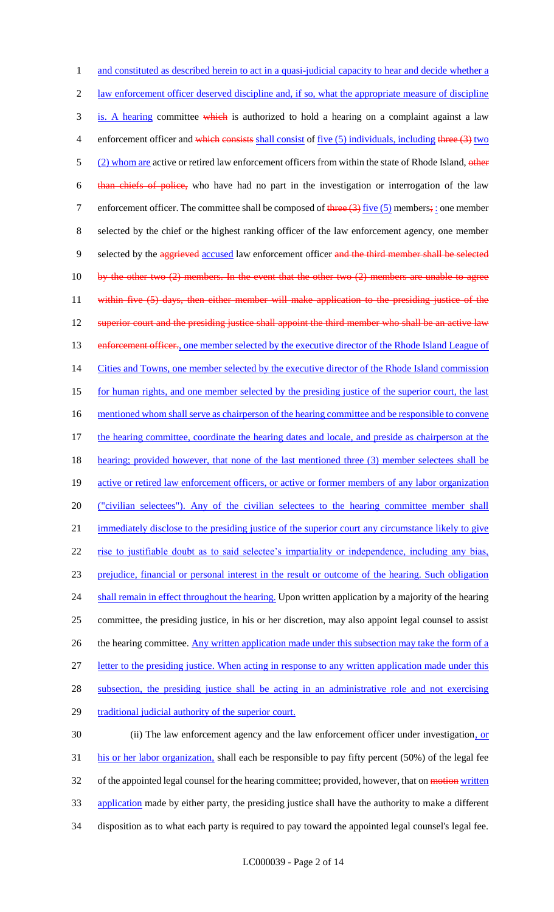1 and constituted as described herein to act in a quasi-judicial capacity to hear and decide whether a 2 law enforcement officer deserved discipline and, if so, what the appropriate measure of discipline 3 is. A hearing committee which is authorized to hold a hearing on a complaint against a law 4 enforcement officer and which consists shall consist of five (5) individuals, including three (3) two 5 (2) whom are active or retired law enforcement officers from within the state of Rhode Island, other 6 than chiefs of police, who have had no part in the investigation or interrogation of the law 7 enforcement officer. The committee shall be composed of  $t$ hree  $(3)$  five  $(5)$  members; : one member 8 selected by the chief or the highest ranking officer of the law enforcement agency, one member 9 selected by the aggrieved accused law enforcement officer and the third member shall be selected 10 by the other two  $(2)$  members. In the event that the other two  $(2)$  members are unable to agree 11 within five (5) days, then either member will make application to the presiding justice of the 12 superior court and the presiding justice shall appoint the third member who shall be an active law 13 enforcement officer., one member selected by the executive director of the Rhode Island League of 14 Cities and Towns, one member selected by the executive director of the Rhode Island commission 15 for human rights, and one member selected by the presiding justice of the superior court, the last 16 mentioned whom shall serve as chairperson of the hearing committee and be responsible to convene 17 the hearing committee, coordinate the hearing dates and locale, and preside as chairperson at the 18 hearing; provided however, that none of the last mentioned three (3) member selectees shall be 19 active or retired law enforcement officers, or active or former members of any labor organization 20 ("civilian selectees"). Any of the civilian selectees to the hearing committee member shall 21 immediately disclose to the presiding justice of the superior court any circumstance likely to give 22 rise to justifiable doubt as to said selectee's impartiality or independence, including any bias, 23 prejudice, financial or personal interest in the result or outcome of the hearing. Such obligation 24 shall remain in effect throughout the hearing. Upon written application by a majority of the hearing 25 committee, the presiding justice, in his or her discretion, may also appoint legal counsel to assist 26 the hearing committee. Any written application made under this subsection may take the form of a 27 letter to the presiding justice. When acting in response to any written application made under this 28 subsection, the presiding justice shall be acting in an administrative role and not exercising 29 traditional judicial authority of the superior court. 30 (ii) The law enforcement agency and the law enforcement officer under investigation, or 31 his or her labor organization, shall each be responsible to pay fifty percent (50%) of the legal fee

32 of the appointed legal counsel for the hearing committee; provided, however, that on motion written

33 application made by either party, the presiding justice shall have the authority to make a different

34 disposition as to what each party is required to pay toward the appointed legal counsel's legal fee.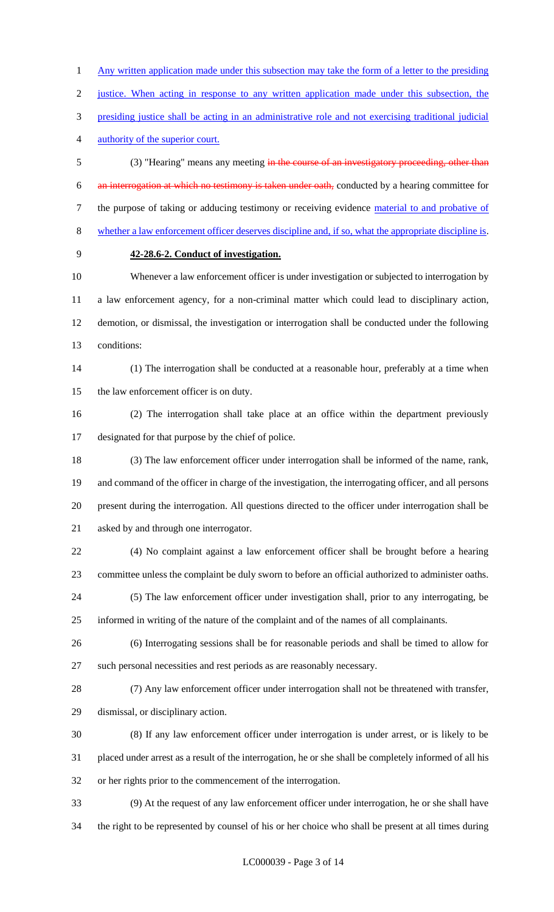1 Any written application made under this subsection may take the form of a letter to the presiding justice. When acting in response to any written application made under this subsection, the presiding justice shall be acting in an administrative role and not exercising traditional judicial authority of the superior court.

 (3) "Hearing" means any meeting in the course of an investigatory proceeding, other than an interrogation at which no testimony is taken under oath, conducted by a hearing committee for 7 the purpose of taking or adducing testimony or receiving evidence material to and probative of whether a law enforcement officer deserves discipline and, if so, what the appropriate discipline is.

# **42-28.6-2. Conduct of investigation.**

 Whenever a law enforcement officer is under investigation or subjected to interrogation by a law enforcement agency, for a non-criminal matter which could lead to disciplinary action, demotion, or dismissal, the investigation or interrogation shall be conducted under the following conditions:

 (1) The interrogation shall be conducted at a reasonable hour, preferably at a time when the law enforcement officer is on duty.

 (2) The interrogation shall take place at an office within the department previously designated for that purpose by the chief of police.

 (3) The law enforcement officer under interrogation shall be informed of the name, rank, and command of the officer in charge of the investigation, the interrogating officer, and all persons present during the interrogation. All questions directed to the officer under interrogation shall be asked by and through one interrogator.

 (4) No complaint against a law enforcement officer shall be brought before a hearing committee unless the complaint be duly sworn to before an official authorized to administer oaths.

 (5) The law enforcement officer under investigation shall, prior to any interrogating, be informed in writing of the nature of the complaint and of the names of all complainants.

 (6) Interrogating sessions shall be for reasonable periods and shall be timed to allow for such personal necessities and rest periods as are reasonably necessary.

 (7) Any law enforcement officer under interrogation shall not be threatened with transfer, dismissal, or disciplinary action.

 (8) If any law enforcement officer under interrogation is under arrest, or is likely to be placed under arrest as a result of the interrogation, he or she shall be completely informed of all his or her rights prior to the commencement of the interrogation.

 (9) At the request of any law enforcement officer under interrogation, he or she shall have the right to be represented by counsel of his or her choice who shall be present at all times during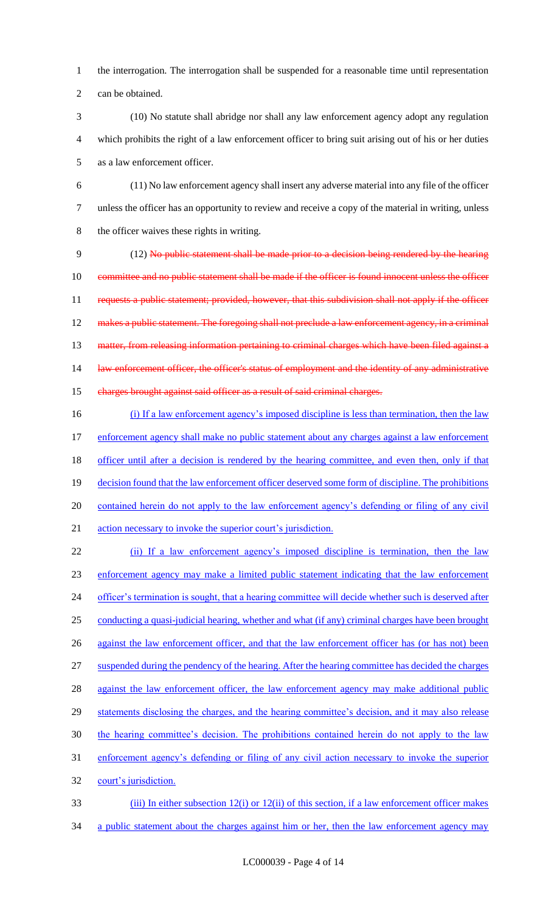1 the interrogation. The interrogation shall be suspended for a reasonable time until representation 2 can be obtained.

- 3 (10) No statute shall abridge nor shall any law enforcement agency adopt any regulation 4 which prohibits the right of a law enforcement officer to bring suit arising out of his or her duties 5 as a law enforcement officer.
- 6 (11) No law enforcement agency shall insert any adverse material into any file of the officer 7 unless the officer has an opportunity to review and receive a copy of the material in writing, unless 8 the officer waives these rights in writing.

9 (12) No public statement shall be made prior to a decision being rendered by the hearing 10 committee and no public statement shall be made if the officer is found innocent unless the officer 11 requests a public statement; provided, however, that this subdivision shall not apply if the officer 12 makes a public statement. The foregoing shall not preclude a law enforcement agency, in a criminal 13 matter, from releasing information pertaining to criminal charges which have been filed against a 14 law enforcement officer, the officer's status of employment and the identity of any administrative 15 charges brought against said officer as a result of said criminal charges.

16 (i) If a law enforcement agency's imposed discipline is less than termination, then the law 17 enforcement agency shall make no public statement about any charges against a law enforcement 18 officer until after a decision is rendered by the hearing committee, and even then, only if that 19 decision found that the law enforcement officer deserved some form of discipline. The prohibitions 20 contained herein do not apply to the law enforcement agency's defending or filing of any civil 21 action necessary to invoke the superior court's jurisdiction.

22 (ii) If a law enforcement agency's imposed discipline is termination, then the law 23 enforcement agency may make a limited public statement indicating that the law enforcement 24 officer's termination is sought, that a hearing committee will decide whether such is deserved after 25 conducting a quasi-judicial hearing, whether and what (if any) criminal charges have been brought 26 against the law enforcement officer, and that the law enforcement officer has (or has not) been 27 suspended during the pendency of the hearing. After the hearing committee has decided the charges 28 against the law enforcement officer, the law enforcement agency may make additional public 29 statements disclosing the charges, and the hearing committee's decision, and it may also release 30 the hearing committee's decision. The prohibitions contained herein do not apply to the law 31 enforcement agency's defending or filing of any civil action necessary to invoke the superior 32 court's jurisdiction. 33 (iii) In either subsection 12(i) or 12(ii) of this section, if a law enforcement officer makes

34 a public statement about the charges against him or her, then the law enforcement agency may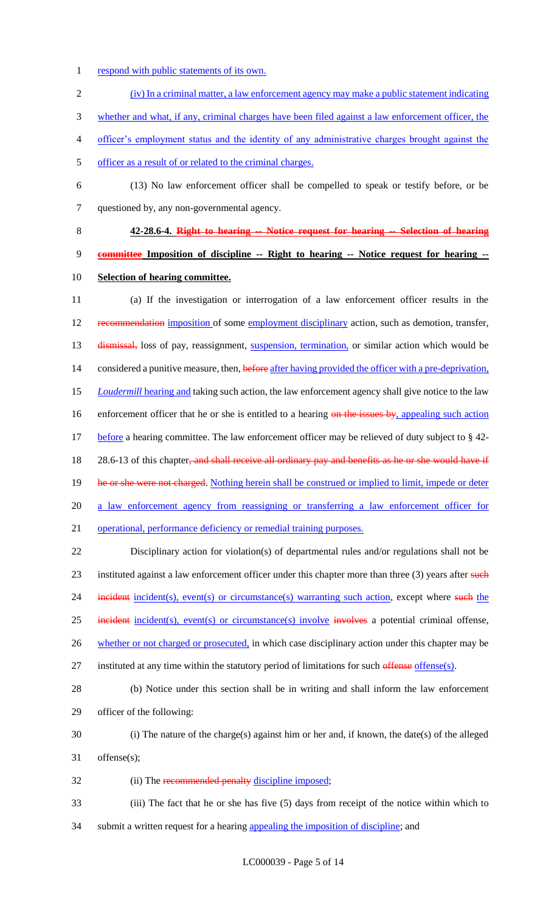- 1 respond with public statements of its own.
- 2 (iv) In a criminal matter, a law enforcement agency may make a public statement indicating 3 whether and what, if any, criminal charges have been filed against a law enforcement officer, the 4 officer's employment status and the identity of any administrative charges brought against the 5 officer as a result of or related to the criminal charges.
- 6 (13) No law enforcement officer shall be compelled to speak or testify before, or be

7 questioned by, any non-governmental agency.

# 8 **42-28.6-4. Right to hearing -- Notice request for hearing -- Selection of hearing**

9 **committee Imposition of discipline -- Right to hearing -- Notice request for hearing --** 10 **Selection of hearing committee.**

11 (a) If the investigation or interrogation of a law enforcement officer results in the 12 recommendation imposition of some employment disciplinary action, such as demotion, transfer, 13 dismissal, loss of pay, reassignment, suspension, termination, or similar action which would be 14 considered a punitive measure, then, before after having provided the officer with a pre-deprivation, 15 *Loudermill* hearing and taking such action, the law enforcement agency shall give notice to the law 16 enforcement officer that he or she is entitled to a hearing on the issues by, appealing such action 17 before a hearing committee. The law enforcement officer may be relieved of duty subject to § 42-18 28.6-13 of this chapter, and shall receive all ordinary pay and benefits as he or she would have if 19 he or she were not charged. Nothing herein shall be construed or implied to limit, impede or deter 20 a law enforcement agency from reassigning or transferring a law enforcement officer for 21 operational, performance deficiency or remedial training purposes.

22 Disciplinary action for violation(s) of departmental rules and/or regulations shall not be 23 instituted against a law enforcement officer under this chapter more than three (3) years after such 24 incident incident(s), event(s) or circumstance(s) warranting such action, except where such the 25 incident incident(s), event(s) or circumstance(s) involve involves a potential criminal offense, 26 whether or not charged or prosecuted, in which case disciplinary action under this chapter may be

27 instituted at any time within the statutory period of limitations for such offense offense(s).

28 (b) Notice under this section shall be in writing and shall inform the law enforcement 29 officer of the following:

- 30 (i) The nature of the charge(s) against him or her and, if known, the date(s) of the alleged 31 offense(s);
- 32 (ii) The recommended penalty discipline imposed;
- 33 (iii) The fact that he or she has five (5) days from receipt of the notice within which to 34 submit a written request for a hearing appealing the imposition of discipline; and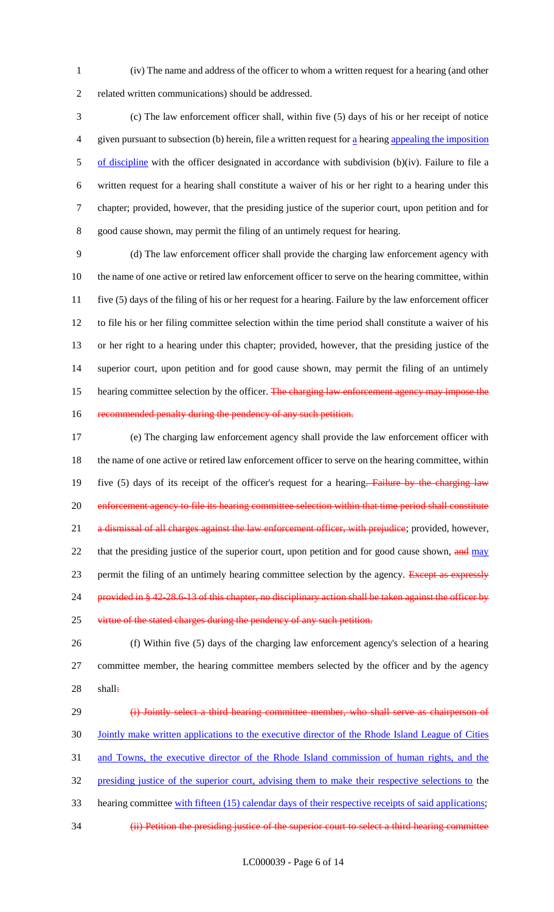1 (iv) The name and address of the officer to whom a written request for a hearing (and other 2 related written communications) should be addressed.

 (c) The law enforcement officer shall, within five (5) days of his or her receipt of notice given pursuant to subsection (b) herein, file a written request for a hearing appealing the imposition 5 of discipline with the officer designated in accordance with subdivision (b)(iv). Failure to file a written request for a hearing shall constitute a waiver of his or her right to a hearing under this chapter; provided, however, that the presiding justice of the superior court, upon petition and for good cause shown, may permit the filing of an untimely request for hearing.

 (d) The law enforcement officer shall provide the charging law enforcement agency with the name of one active or retired law enforcement officer to serve on the hearing committee, within five (5) days of the filing of his or her request for a hearing. Failure by the law enforcement officer to file his or her filing committee selection within the time period shall constitute a waiver of his or her right to a hearing under this chapter; provided, however, that the presiding justice of the superior court, upon petition and for good cause shown, may permit the filing of an untimely 15 hearing committee selection by the officer. The charging law enforcement agency may impose the 16 recommended penalty during the pendency of any such petition.

17 (e) The charging law enforcement agency shall provide the law enforcement officer with 18 the name of one active or retired law enforcement officer to serve on the hearing committee, within 19 five (5) days of its receipt of the officer's request for a hearing. Failure by the charging law 20 enforcement agency to file its hearing committee selection within that time period shall constitute 21 a dismissal of all charges against the law enforcement officer, with prejudice; provided, however, 22 that the presiding justice of the superior court, upon petition and for good cause shown, and may 23 permit the filing of an untimely hearing committee selection by the agency. Except as expressly 24 provided in § 42-28.6-13 of this chapter, no disciplinary action shall be taken against the officer by 25 virtue of the stated charges during the pendency of any such petition.

26 (f) Within five (5) days of the charging law enforcement agency's selection of a hearing 27 committee member, the hearing committee members selected by the officer and by the agency 28 shall:

29 (i) Jointly select a third hearing committee member, who shall serve as chairperson of 30 Jointly make written applications to the executive director of the Rhode Island League of Cities 31 and Towns, the executive director of the Rhode Island commission of human rights, and the 32 presiding justice of the superior court, advising them to make their respective selections to the 33 hearing committee with fifteen (15) calendar days of their respective receipts of said applications; 34 (ii) Petition the presiding justice of the superior court to select a third hearing committee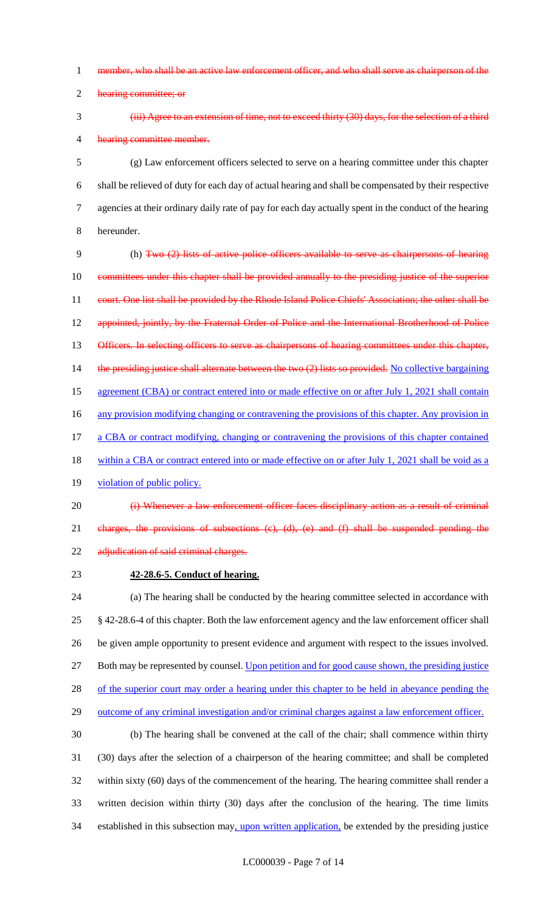- 1 member, who shall be an active law enforcement officer, and who shall serve as chairperson of the
- 2 hearing committee; or
- 

# 3 (iii) Agree to an extension of time, not to exceed thirty (30) days, for the selection of a third 4 hearing committee member.

 (g) Law enforcement officers selected to serve on a hearing committee under this chapter shall be relieved of duty for each day of actual hearing and shall be compensated by their respective agencies at their ordinary daily rate of pay for each day actually spent in the conduct of the hearing hereunder.

9 (h) Two (2) lists of active police officers available to serve as chairpersons of hearing 10 committees under this chapter shall be provided annually to the presiding justice of the superior 11 court. One list shall be provided by the Rhode Island Police Chiefs' Association; the other shall be 12 appointed, jointly, by the Fraternal Order of Police and the International Brotherhood of Police 13 Officers. In selecting officers to serve as chairpersons of hearing committees under this chapter, 14 the presiding justice shall alternate between the two (2) lists so provided. No collective bargaining 15 agreement (CBA) or contract entered into or made effective on or after July 1, 2021 shall contain 16 any provision modifying changing or contravening the provisions of this chapter. Any provision in 17 a CBA or contract modifying, changing or contravening the provisions of this chapter contained 18 within a CBA or contract entered into or made effective on or after July 1, 2021 shall be void as a

- 19 violation of public policy.
- 20 (i) Whenever a law enforcement officer faces disciplinary action as a result of criminal 21 charges, the provisions of subsections (c), (d), (e) and (f) shall be suspended pending the 22 adjudication of said criminal charges.
- 

# 23 **42-28.6-5. Conduct of hearing.**

 (a) The hearing shall be conducted by the hearing committee selected in accordance with § 42-28.6-4 of this chapter. Both the law enforcement agency and the law enforcement officer shall be given ample opportunity to present evidence and argument with respect to the issues involved. 27 Both may be represented by counsel. Upon petition and for good cause shown, the presiding justice 28 of the superior court may order a hearing under this chapter to be held in abeyance pending the outcome of any criminal investigation and/or criminal charges against a law enforcement officer.

 (b) The hearing shall be convened at the call of the chair; shall commence within thirty (30) days after the selection of a chairperson of the hearing committee; and shall be completed within sixty (60) days of the commencement of the hearing. The hearing committee shall render a written decision within thirty (30) days after the conclusion of the hearing. The time limits 34 established in this subsection may, upon written application, be extended by the presiding justice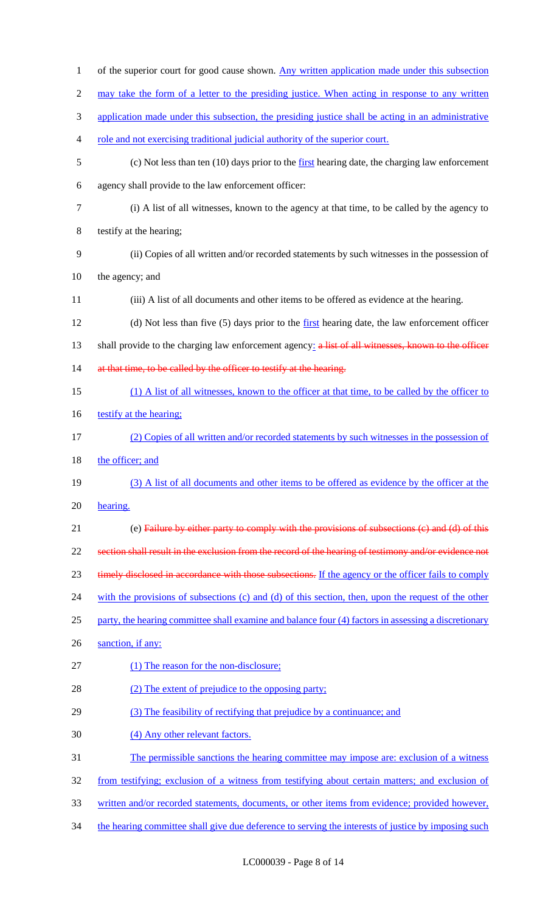| $\mathbf{1}$     | of the superior court for good cause shown. Any written application made under this subsection        |
|------------------|-------------------------------------------------------------------------------------------------------|
| $\overline{2}$   | may take the form of a letter to the presiding justice. When acting in response to any written        |
| 3                | application made under this subsection, the presiding justice shall be acting in an administrative    |
| 4                | role and not exercising traditional judicial authority of the superior court.                         |
| 5                | (c) Not less than ten $(10)$ days prior to the first hearing date, the charging law enforcement       |
| 6                | agency shall provide to the law enforcement officer:                                                  |
| $\boldsymbol{7}$ | (i) A list of all witnesses, known to the agency at that time, to be called by the agency to          |
| $8\,$            | testify at the hearing;                                                                               |
| 9                | (ii) Copies of all written and/or recorded statements by such witnesses in the possession of          |
| 10               | the agency; and                                                                                       |
| 11               | (iii) A list of all documents and other items to be offered as evidence at the hearing.               |
| 12               | (d) Not less than five (5) days prior to the first hearing date, the law enforcement officer          |
| 13               | shall provide to the charging law enforcement agency: a list of all witnesses, known to the officer   |
| 14               | at that time, to be called by the officer to testify at the hearing.                                  |
| 15               | (1) A list of all witnesses, known to the officer at that time, to be called by the officer to        |
| 16               | testify at the hearing:                                                                               |
| 17               | (2) Copies of all written and/or recorded statements by such witnesses in the possession of           |
| 18               | the officer; and                                                                                      |
| 19               | (3) A list of all documents and other items to be offered as evidence by the officer at the           |
| 20               | hearing.                                                                                              |
| 21               | (e) Failure by either party to comply with the provisions of subsections (c) and (d) of this          |
|                  |                                                                                                       |
| 22               | section shall result in the exclusion from the record of the hearing of testimony and/or evidence not |
| 23               | timely disclosed in accordance with those subsections. If the agency or the officer fails to comply   |
| 24               | with the provisions of subsections (c) and (d) of this section, then, upon the request of the other   |
| 25               | party, the hearing committee shall examine and balance four (4) factors in assessing a discretionary  |
| 26               | sanction, if any:                                                                                     |
| 27               | (1) The reason for the non-disclosure;                                                                |
| 28               | (2) The extent of prejudice to the opposing party;                                                    |
| 29               | (3) The feasibility of rectifying that prejudice by a continuance; and                                |
| 30               | (4) Any other relevant factors.                                                                       |
| 31               | The permissible sanctions the hearing committee may impose are: exclusion of a witness                |
| 32               | from testifying; exclusion of a witness from testifying about certain matters; and exclusion of       |
| 33               | written and/or recorded statements, documents, or other items from evidence; provided however,        |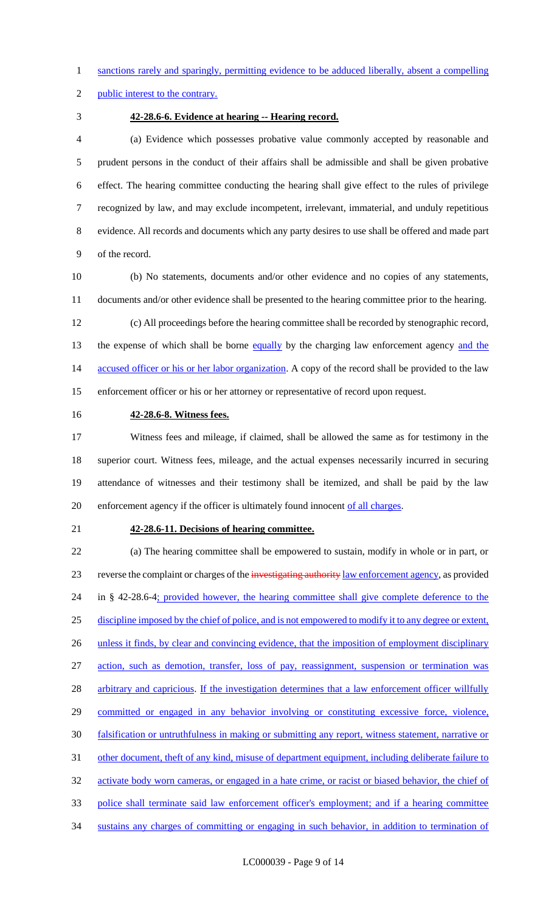sanctions rarely and sparingly, permitting evidence to be adduced liberally, absent a compelling

public interest to the contrary.

#### **42-28.6-6. Evidence at hearing -- Hearing record.**

 (a) Evidence which possesses probative value commonly accepted by reasonable and prudent persons in the conduct of their affairs shall be admissible and shall be given probative effect. The hearing committee conducting the hearing shall give effect to the rules of privilege recognized by law, and may exclude incompetent, irrelevant, immaterial, and unduly repetitious evidence. All records and documents which any party desires to use shall be offered and made part of the record.

 (b) No statements, documents and/or other evidence and no copies of any statements, documents and/or other evidence shall be presented to the hearing committee prior to the hearing.

 (c) All proceedings before the hearing committee shall be recorded by stenographic record, 13 the expense of which shall be borne equally by the charging law enforcement agency and the 14 accused officer or his or her labor organization. A copy of the record shall be provided to the law enforcement officer or his or her attorney or representative of record upon request.

#### **42-28.6-8. Witness fees.**

 Witness fees and mileage, if claimed, shall be allowed the same as for testimony in the superior court. Witness fees, mileage, and the actual expenses necessarily incurred in securing attendance of witnesses and their testimony shall be itemized, and shall be paid by the law 20 enforcement agency if the officer is ultimately found innocent of all charges.

#### **42-28.6-11. Decisions of hearing committee.**

 (a) The hearing committee shall be empowered to sustain, modify in whole or in part, or 23 reverse the complaint or charges of the investigating authority law enforcement agency, as provided 24 in § 42-28.6-4; provided however, the hearing committee shall give complete deference to the discipline imposed by the chief of police, and is not empowered to modify it to any degree or extent, 26 unless it finds, by clear and convincing evidence, that the imposition of employment disciplinary action, such as demotion, transfer, loss of pay, reassignment, suspension or termination was 28 arbitrary and capricious. If the investigation determines that a law enforcement officer willfully 29 committed or engaged in any behavior involving or constituting excessive force, violence, falsification or untruthfulness in making or submitting any report, witness statement, narrative or 31 other document, theft of any kind, misuse of department equipment, including deliberate failure to 32 activate body worn cameras, or engaged in a hate crime, or racist or biased behavior, the chief of police shall terminate said law enforcement officer's employment; and if a hearing committee sustains any charges of committing or engaging in such behavior, in addition to termination of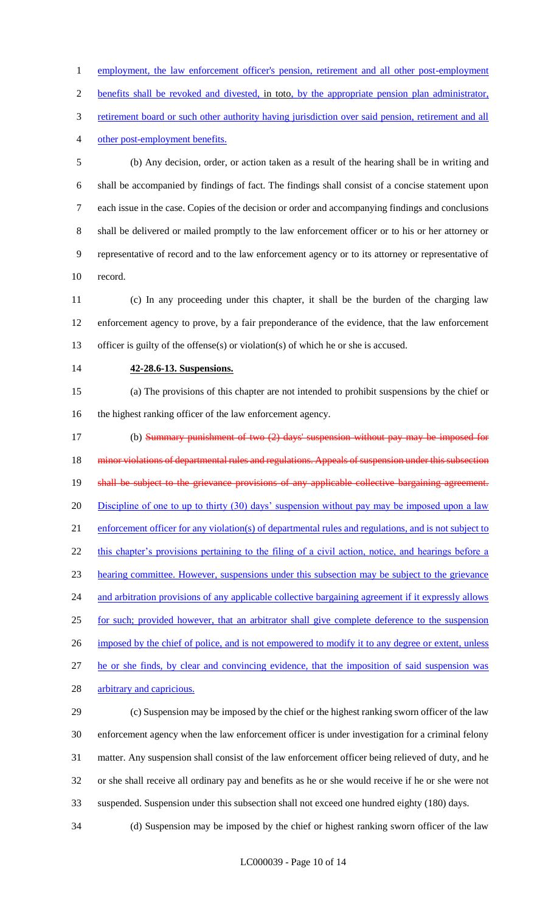1 employment, the law enforcement officer's pension, retirement and all other post-employment benefits shall be revoked and divested, in toto, by the appropriate pension plan administrator,

3 retirement board or such other authority having jurisdiction over said pension, retirement and all

other post-employment benefits.

 (b) Any decision, order, or action taken as a result of the hearing shall be in writing and shall be accompanied by findings of fact. The findings shall consist of a concise statement upon each issue in the case. Copies of the decision or order and accompanying findings and conclusions shall be delivered or mailed promptly to the law enforcement officer or to his or her attorney or representative of record and to the law enforcement agency or to its attorney or representative of record.

 (c) In any proceeding under this chapter, it shall be the burden of the charging law enforcement agency to prove, by a fair preponderance of the evidence, that the law enforcement officer is guilty of the offense(s) or violation(s) of which he or she is accused.

#### **42-28.6-13. Suspensions.**

 (a) The provisions of this chapter are not intended to prohibit suspensions by the chief or the highest ranking officer of the law enforcement agency.

 (b) Summary punishment of two (2) days' suspension without pay may be imposed for 18 minor violations of departmental rules and regulations. Appeals of suspension under this subsection 19 shall be subject to the grievance provisions of any applicable collective bargaining agreement. 20 Discipline of one to up to thirty (30) days' suspension without pay may be imposed upon a law enforcement officer for any violation(s) of departmental rules and regulations, and is not subject to 22 this chapter's provisions pertaining to the filing of a civil action, notice, and hearings before a hearing committee. However, suspensions under this subsection may be subject to the grievance and arbitration provisions of any applicable collective bargaining agreement if it expressly allows for such; provided however, that an arbitrator shall give complete deference to the suspension 26 imposed by the chief of police, and is not empowered to modify it to any degree or extent, unless he or she finds, by clear and convincing evidence, that the imposition of said suspension was 28 arbitrary and capricious.

 (c) Suspension may be imposed by the chief or the highest ranking sworn officer of the law enforcement agency when the law enforcement officer is under investigation for a criminal felony matter. Any suspension shall consist of the law enforcement officer being relieved of duty, and he or she shall receive all ordinary pay and benefits as he or she would receive if he or she were not suspended. Suspension under this subsection shall not exceed one hundred eighty (180) days.

(d) Suspension may be imposed by the chief or highest ranking sworn officer of the law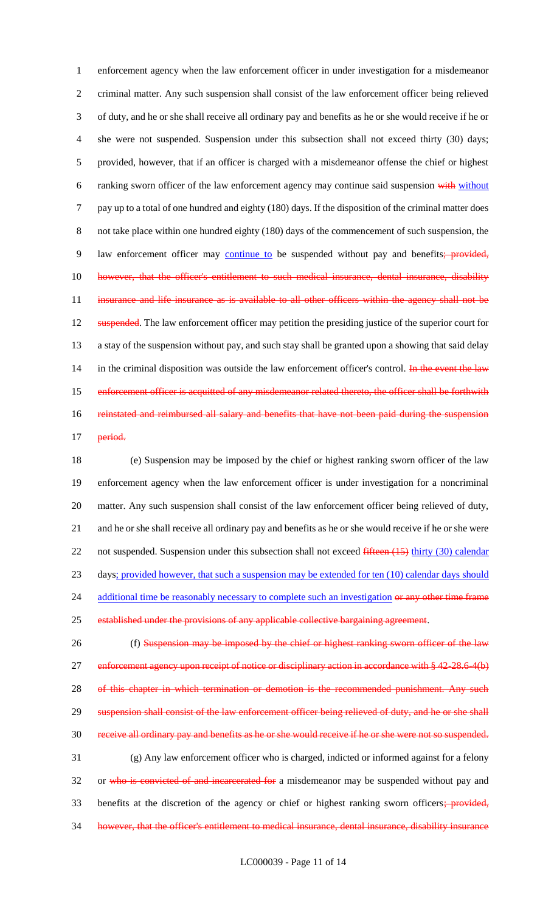1 enforcement agency when the law enforcement officer in under investigation for a misdemeanor 2 criminal matter. Any such suspension shall consist of the law enforcement officer being relieved 3 of duty, and he or she shall receive all ordinary pay and benefits as he or she would receive if he or 4 she were not suspended. Suspension under this subsection shall not exceed thirty (30) days; 5 provided, however, that if an officer is charged with a misdemeanor offense the chief or highest 6 ranking sworn officer of the law enforcement agency may continue said suspension with without 7 pay up to a total of one hundred and eighty (180) days. If the disposition of the criminal matter does 8 not take place within one hundred eighty (180) days of the commencement of such suspension, the 9 law enforcement officer may continue to be suspended without pay and benefits; provided, 10 however, that the officer's entitlement to such medical insurance, dental insurance, disability 11 insurance and life insurance as is available to all other officers within the agency shall not be 12 suspended. The law enforcement officer may petition the presiding justice of the superior court for 13 a stay of the suspension without pay, and such stay shall be granted upon a showing that said delay 14 in the criminal disposition was outside the law enforcement officer's control. In the event the law 15 enforcement officer is acquitted of any misdemeanor related thereto, the officer shall be forthwith 16 reinstated and reimbursed all salary and benefits that have not been paid during the suspension 17 period.

18 (e) Suspension may be imposed by the chief or highest ranking sworn officer of the law 19 enforcement agency when the law enforcement officer is under investigation for a noncriminal 20 matter. Any such suspension shall consist of the law enforcement officer being relieved of duty, 21 and he or she shall receive all ordinary pay and benefits as he or she would receive if he or she were 22 not suspended. Suspension under this subsection shall not exceed fifteen (15) thirty (30) calendar 23 days; provided however, that such a suspension may be extended for ten (10) calendar days should 24 additional time be reasonably necessary to complete such an investigation or any other time frame 25 established under the provisions of any applicable collective bargaining agreement. 26 (f) Suspension may be imposed by the chief or highest ranking sworn officer of the law

27 enforcement agency upon receipt of notice or disciplinary action in accordance with § 42-28.6-4(b) 28 of this chapter in which termination or demotion is the recommended punishment. Any such 29 suspension shall consist of the law enforcement officer being relieved of duty, and he or she shall 30 receive all ordinary pay and benefits as he or she would receive if he or she were not so suspended. 31 (g) Any law enforcement officer who is charged, indicted or informed against for a felony 32 or who is convicted of and incarcerated for a misdemeanor may be suspended without pay and 33 benefits at the discretion of the agency or chief or highest ranking sworn officers; provided, 34 however, that the officer's entitlement to medical insurance, dental insurance, disability insurance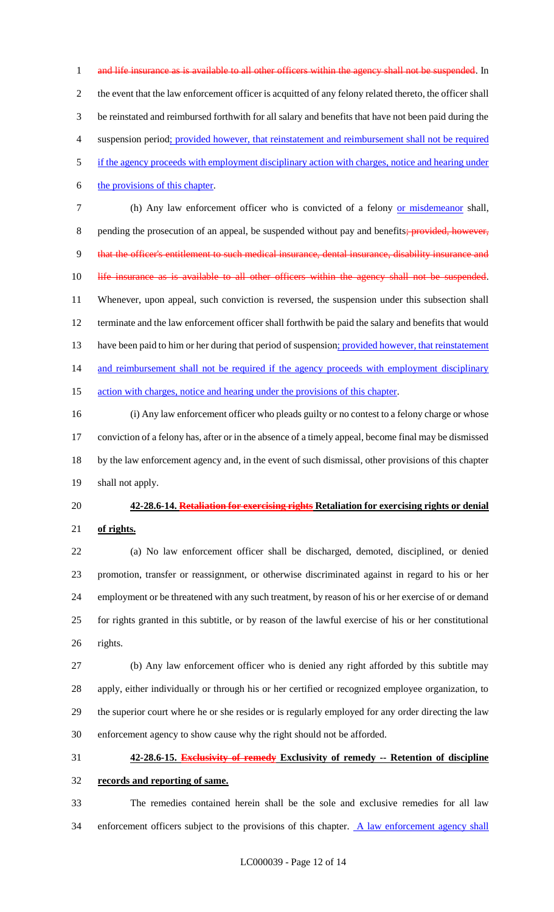1 and life insurance as is available to all other officers within the agency shall not be suspended. In the event that the law enforcement officer is acquitted of any felony related thereto, the officer shall be reinstated and reimbursed forthwith for all salary and benefits that have not been paid during the suspension period; provided however, that reinstatement and reimbursement shall not be required if the agency proceeds with employment disciplinary action with charges, notice and hearing under the provisions of this chapter. 7 (h) Any law enforcement officer who is convicted of a felony or misdemeanor shall, 8 pending the prosecution of an appeal, be suspended without pay and benefits; provided, however, that the officer's entitlement to such medical insurance, dental insurance, disability insurance and 10 life insurance as is available to all other officers within the agency shall not be suspended.

 Whenever, upon appeal, such conviction is reversed, the suspension under this subsection shall terminate and the law enforcement officer shall forthwith be paid the salary and benefits that would 13 have been paid to him or her during that period of suspension; provided however, that reinstatement 14 and reimbursement shall not be required if the agency proceeds with employment disciplinary 15 action with charges, notice and hearing under the provisions of this chapter.

 (i) Any law enforcement officer who pleads guilty or no contest to a felony charge or whose conviction of a felony has, after or in the absence of a timely appeal, become final may be dismissed by the law enforcement agency and, in the event of such dismissal, other provisions of this chapter shall not apply.

**42-28.6-14. Retaliation for exercising rights Retaliation for exercising rights or denial** 

**of rights.**

 (a) No law enforcement officer shall be discharged, demoted, disciplined, or denied promotion, transfer or reassignment, or otherwise discriminated against in regard to his or her employment or be threatened with any such treatment, by reason of his or her exercise of or demand for rights granted in this subtitle, or by reason of the lawful exercise of his or her constitutional rights.

 (b) Any law enforcement officer who is denied any right afforded by this subtitle may apply, either individually or through his or her certified or recognized employee organization, to the superior court where he or she resides or is regularly employed for any order directing the law enforcement agency to show cause why the right should not be afforded.

# **42-28.6-15. Exclusivity of remedy Exclusivity of remedy -- Retention of discipline**

**records and reporting of same.**

 The remedies contained herein shall be the sole and exclusive remedies for all law 34 enforcement officers subject to the provisions of this chapter. A law enforcement agency shall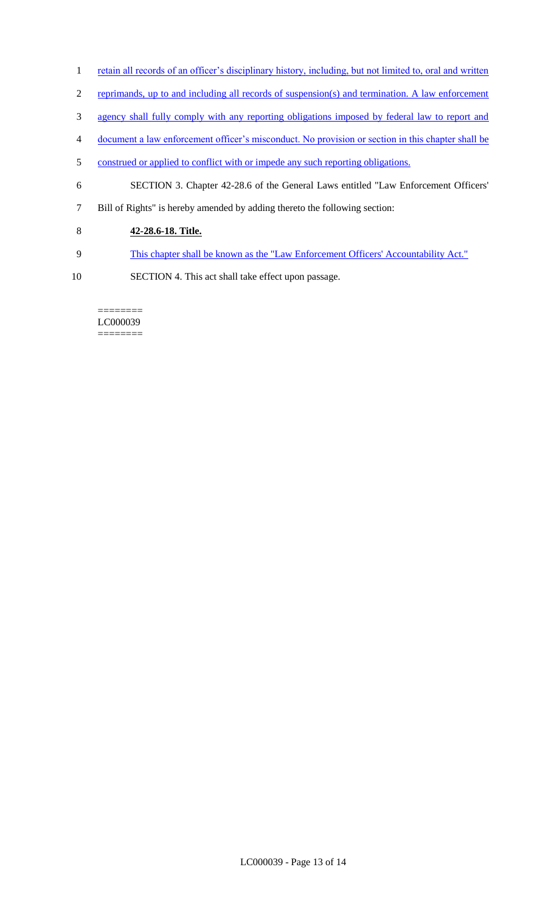- 1 retain all records of an officer's disciplinary history, including, but not limited to, oral and written
- 2 reprimands, up to and including all records of suspension(s) and termination. A law enforcement
- 3 agency shall fully comply with any reporting obligations imposed by federal law to report and
- 4 document a law enforcement officer's misconduct. No provision or section in this chapter shall be
- 5 construed or applied to conflict with or impede any such reporting obligations.
- 6 SECTION 3. Chapter 42-28.6 of the General Laws entitled "Law Enforcement Officers'
- 7 Bill of Rights" is hereby amended by adding thereto the following section:
- 8 **42-28.6-18. Title.**
- 9 This chapter shall be known as the "Law Enforcement Officers' Accountability Act."
- 10 SECTION 4. This act shall take effect upon passage.

#### ======== LC000039 ========